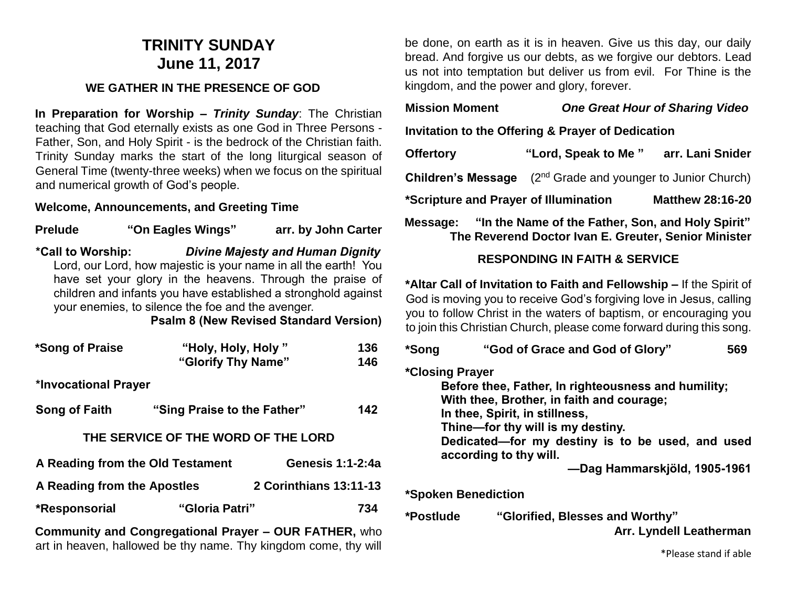# **TRINITY SUNDAY June 11, 2017**

#### **WE GATHER IN THE PRESENCE OF GOD**

**In Preparation for Worship –** *Trinity Sunday*: The Christian teaching that God eternally exists as one God in Three Persons - Father, Son, and Holy Spirit - is the bedrock of the Christian faith. Trinity Sunday marks the start of the long liturgical season of General Time (twenty-three weeks) when we focus on the spiritual and numerical growth of God's people.

#### **Welcome, Announcements, and Greeting Time**

**Prelude "On Eagles Wings" arr. by John Carter \*Call to Worship:** *Divine Majesty and Human Dignity* Lord, our Lord, how majestic is your name in all the earth! You have set your glory in the heavens. Through the praise of children and infants you have established a stronghold against your enemies, to silence the foe and the avenger.

**Psalm 8 (New Revised Standard Version)**

| *Song of Praise                  | "Holy, Holy, Holy"<br>"Glorify Thy Name" |                         | 136<br>146 |
|----------------------------------|------------------------------------------|-------------------------|------------|
| *Invocational Prayer             |                                          |                         |            |
| Song of Faith                    | "Sing Praise to the Father"              |                         | 142        |
|                                  | THE SERVICE OF THE WORD OF THE LORD      |                         |            |
| A Reading from the Old Testament |                                          | <b>Genesis 1:1-2:4a</b> |            |
| A Reading from the Apostles      |                                          | 2 Corinthians 13:11-13  |            |
| *Responsorial                    | "Gloria Patri"                           |                         | 734        |

**Community and Congregational Prayer – OUR FATHER,** who art in heaven, hallowed be thy name. Thy kingdom come, thy will

be done, on earth as it is in heaven. Give us this day, our daily bread. And forgive us our debts, as we forgive our debtors. Lead us not into temptation but deliver us from evil. For Thine is the kingdom, and the power and glory, forever.

### **Mission Moment** *One Great Hour of Sharing Video*

**Invitation to the Offering & Prayer of Dedication**

**Offertory "Lord, Speak to Me " arr. Lani Snider Children's Message** (2<sup>nd</sup> Grade and younger to Junior Church) **\*Scripture and Prayer of Illumination Matthew 28:16-20**

**Message: "In the Name of the Father, Son, and Holy Spirit" The Reverend Doctor Ivan E. Greuter, Senior Minister**

#### **RESPONDING IN FAITH & SERVICE**

**\*Altar Call of Invitation to Faith and Fellowship –** If the Spirit of God is moving you to receive God's forgiving love in Jesus, calling you to follow Christ in the waters of baptism, or encouraging you to join this Christian Church, please come forward during this song.

| *Song     | "God of Grace and God of Glory"<br>569                                                                                                                                                     |
|-----------|--------------------------------------------------------------------------------------------------------------------------------------------------------------------------------------------|
|           | *Closing Prayer<br>Before thee, Father, In righteousness and humility;<br>With thee, Brother, in faith and courage;<br>In thee, Spirit, in stillness,<br>Thine-for thy will is my destiny. |
|           | Dedicated—for my destiny is to be used, and used<br>according to thy will.<br>-Dag Hammarskjöld, 1905-1961                                                                                 |
|           | *Spoken Benediction                                                                                                                                                                        |
| *Postlude | "Glorified, Blesses and Worthy"<br>Arr. Lyndell Leatherman                                                                                                                                 |

\*Please stand if able